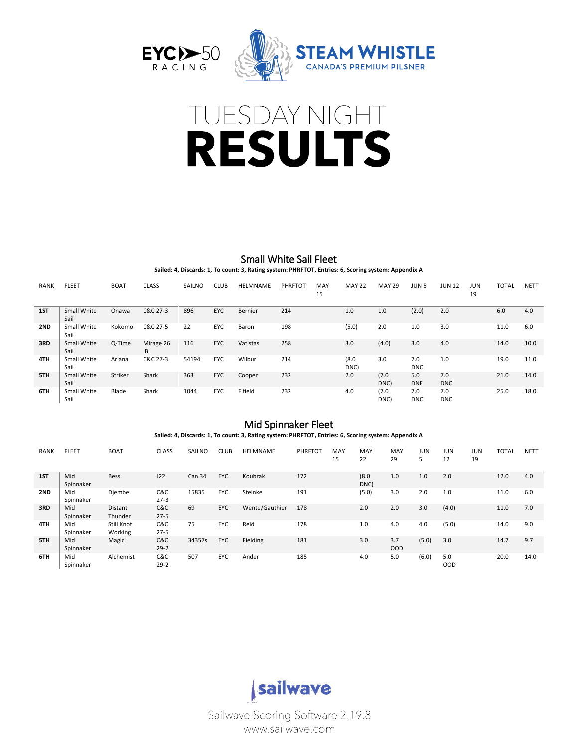





# Small White Sail Fleet

**Sailed: 4, Discards: 1, To count: 3, Rating system: PHRFTOT, Entries: 6, Scoring system: Appendix A**

| <b>RANK</b> | <b>FLEET</b>        | <b>BOAT</b> | <b>CLASS</b>           | SAILNO | <b>CLUB</b> | HELMNAME | PHRFTOT | MAY<br>15 | <b>MAY 22</b> | <b>MAY 29</b> | JUN <sub>5</sub>  | <b>JUN 12</b>     | JUN<br>19 | <b>TOTAL</b> | <b>NETT</b> |
|-------------|---------------------|-------------|------------------------|--------|-------------|----------|---------|-----------|---------------|---------------|-------------------|-------------------|-----------|--------------|-------------|
| 1ST         | Small White<br>Sail | Onawa       | C&C 27-3               | 896    | <b>EYC</b>  | Bernier  | 214     |           | 1.0           | 1.0           | (2.0)             | 2.0               |           | 6.0          | 4.0         |
| 2ND         | Small White<br>Sail | Kokomo      | C&C 27-5               | 22     | <b>EYC</b>  | Baron    | 198     |           | (5.0)         | 2.0           | 1.0               | 3.0               |           | 11.0         | 6.0         |
| 3RD         | Small White<br>Sail | Q-Time      | Mirage 26<br><b>IB</b> | 116    | <b>EYC</b>  | Vatistas | 258     |           | 3.0           | (4.0)         | 3.0               | 4.0               |           | 14.0         | 10.0        |
| 4TH         | Small White<br>Sail | Ariana      | C&C 27-3               | 54194  | <b>EYC</b>  | Wilbur   | 214     |           | (8.0)<br>DNC) | 3.0           | 7.0<br><b>DNC</b> | 1.0               |           | 19.0         | 11.0        |
| 5TH         | Small White<br>Sail | Striker     | Shark                  | 363    | EYC         | Cooper   | 232     |           | 2.0           | (7.0)<br>DNC) | 5.0<br><b>DNF</b> | 7.0<br><b>DNC</b> |           | 21.0         | 14.0        |
| 6TH         | Small White<br>Sail | Blade       | Shark                  | 1044   | EYC         | Fifield  | 232     |           | 4.0           | (7.0)<br>DNC) | 7.0<br><b>DNC</b> | 7.0<br><b>DNC</b> |           | 25.0         | 18.0        |

### Mid Spinnaker Fleet

**Sailed: 4, Discards: 1, To count: 3, Rating system: PHRFTOT, Entries: 6, Scoring system: Appendix A**

| <b>RANK</b> | <b>FLEET</b>     | <b>BOAT</b>           | <b>CLASS</b>    | <b>SAILNO</b> | <b>CLUB</b> | <b>HELMNAME</b> | PHRFTOT | MAY<br>15 | MAY<br>22     | MAY<br>29         | <b>JUN</b><br>5 | <b>JUN</b><br>12  | JUN<br>19 | <b>TOTAL</b> | <b>NETT</b> |
|-------------|------------------|-----------------------|-----------------|---------------|-------------|-----------------|---------|-----------|---------------|-------------------|-----------------|-------------------|-----------|--------------|-------------|
| 1ST         | Mid<br>Spinnaker | <b>Bess</b>           | J22             | Can 34        | EYC         | Koubrak         | 172     |           | (8.0)<br>DNC) | 1.0               | 1.0             | 2.0               |           | 12.0         | 4.0         |
| 2ND         | Mid<br>Spinnaker | Djembe                | C&C<br>$27-3$   | 15835         | EYC         | Steinke         | 191     |           | (5.0)         | 3.0               | 2.0             | 1.0               |           | 11.0         | 6.0         |
| 3RD         | Mid<br>Spinnaker | Distant<br>Thunder    | C&C<br>$27 - 5$ | 69            | EYC         | Wente/Gauthier  | 178     |           | 2.0           | 2.0               | 3.0             | (4.0)             |           | 11.0         | 7.0         |
| 4TH         | Mid<br>Spinnaker | Still Knot<br>Working | C&C<br>$27 - 5$ | 75            | EYC         | Reid            | 178     |           | 1.0           | 4.0               | 4.0             | (5.0)             |           | 14.0         | 9.0         |
| 5TH         | Mid<br>Spinnaker | Magic                 | C&C<br>$29 - 2$ | 34357s        | EYC         | Fielding        | 181     |           | 3.0           | 3.7<br><b>OOD</b> | (5.0)           | 3.0               |           | 14.7         | 9.7         |
| 6TH         | Mid<br>Spinnaker | Alchemist             | C&C<br>$29 - 2$ | 507           | EYC         | Ander           | 185     |           | 4.0           | 5.0               | (6.0)           | 5.0<br><b>OOD</b> |           | 20.0         | 14.0        |



Sailwave Scoring Software 2.19.8 www.sailwave.com